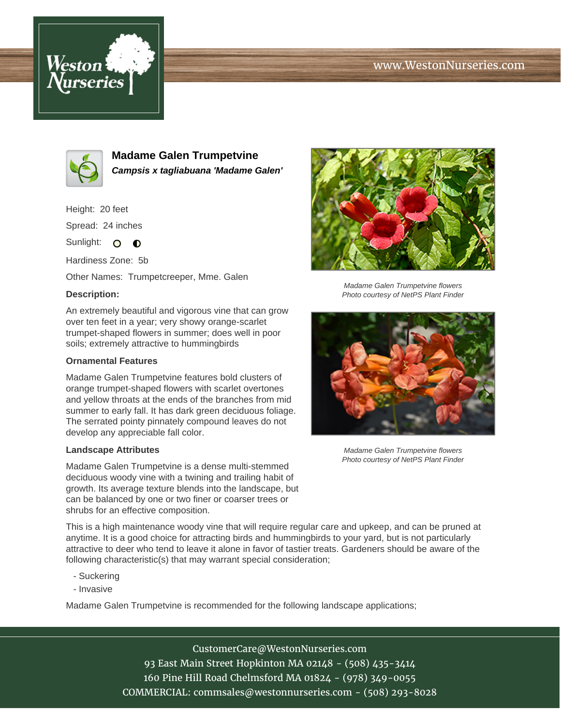# www.WestonNurseries.com





**Madame Galen Trumpetvine Campsis x tagliabuana 'Madame Galen'**

Height: 20 feet Spread: 24 inches

Sunlight: O **O** 

Hardiness Zone: 5b

Other Names: Trumpetcreeper, Mme. Galen

### **Description:**

An extremely beautiful and vigorous vine that can grow over ten feet in a year; very showy orange-scarlet trumpet-shaped flowers in summer; does well in poor soils; extremely attractive to hummingbirds

#### **Ornamental Features**

Madame Galen Trumpetvine features bold clusters of orange trumpet-shaped flowers with scarlet overtones and yellow throats at the ends of the branches from mid summer to early fall. It has dark green deciduous foliage. The serrated pointy pinnately compound leaves do not develop any appreciable fall color.

#### **Landscape Attributes**

Madame Galen Trumpetvine is a dense multi-stemmed deciduous woody vine with a twining and trailing habit of growth. Its average texture blends into the landscape, but can be balanced by one or two finer or coarser trees or shrubs for an effective composition.



Madame Galen Trumpetvine flowers Photo courtesy of NetPS Plant Finder



Madame Galen Trumpetvine flowers Photo courtesy of NetPS Plant Finder

This is a high maintenance woody vine that will require regular care and upkeep, and can be pruned at anytime. It is a good choice for attracting birds and hummingbirds to your yard, but is not particularly attractive to deer who tend to leave it alone in favor of tastier treats. Gardeners should be aware of the following characteristic(s) that may warrant special consideration;

- Suckering
- Invasive

Madame Galen Trumpetvine is recommended for the following landscape applications;

CustomerCare@WestonNurseries.com 93 East Main Street Hopkinton MA 02148 - (508) 435-3414 160 Pine Hill Road Chelmsford MA 01824 - (978) 349-0055 COMMERCIAL: commsales@westonnurseries.com - (508) 293-8028